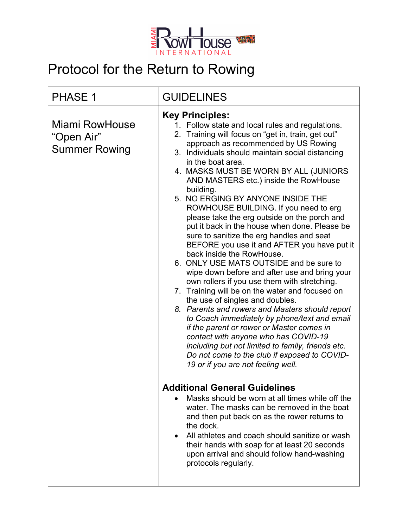

## Protocol for the Return to Rowing

| <b>PHASE 1</b>                                              | <b>GUIDELINES</b>                                                                                                                                                                                                                                                                                                                                                                                                                                                                                                                                                                                                                                                                                                                                                                                                                                                                                                                                                                                                                                                                                                                                                                                                             |
|-------------------------------------------------------------|-------------------------------------------------------------------------------------------------------------------------------------------------------------------------------------------------------------------------------------------------------------------------------------------------------------------------------------------------------------------------------------------------------------------------------------------------------------------------------------------------------------------------------------------------------------------------------------------------------------------------------------------------------------------------------------------------------------------------------------------------------------------------------------------------------------------------------------------------------------------------------------------------------------------------------------------------------------------------------------------------------------------------------------------------------------------------------------------------------------------------------------------------------------------------------------------------------------------------------|
| <b>Miami RowHouse</b><br>"Open Air"<br><b>Summer Rowing</b> | <b>Key Principles:</b><br>1. Follow state and local rules and regulations.<br>2. Training will focus on "get in, train, get out"<br>approach as recommended by US Rowing<br>3. Individuals should maintain social distancing<br>in the boat area.<br>4. MASKS MUST BE WORN BY ALL (JUNIORS<br>AND MASTERS etc.) inside the RowHouse<br>building.<br>5. NO ERGING BY ANYONE INSIDE THE<br>ROWHOUSE BUILDING. If you need to erg<br>please take the erg outside on the porch and<br>put it back in the house when done. Please be<br>sure to sanitize the erg handles and seat<br>BEFORE you use it and AFTER you have put it<br>back inside the RowHouse.<br>6. ONLY USE MATS OUTSIDE and be sure to<br>wipe down before and after use and bring your<br>own rollers if you use them with stretching.<br>7. Training will be on the water and focused on<br>the use of singles and doubles.<br>8. Parents and rowers and Masters should report<br>to Coach immediately by phone/text and email<br>if the parent or rower or Master comes in<br>contact with anyone who has COVID-19<br>including but not limited to family, friends etc.<br>Do not come to the club if exposed to COVID-<br>19 or if you are not feeling well. |
|                                                             | <b>Additional General Guidelines</b><br>Masks should be worn at all times while off the<br>water. The masks can be removed in the boat<br>and then put back on as the rower returns to<br>the dock.<br>All athletes and coach should sanitize or wash<br>$\bullet$<br>their hands with soap for at least 20 seconds<br>upon arrival and should follow hand-washing<br>protocols regularly.                                                                                                                                                                                                                                                                                                                                                                                                                                                                                                                                                                                                                                                                                                                                                                                                                                    |